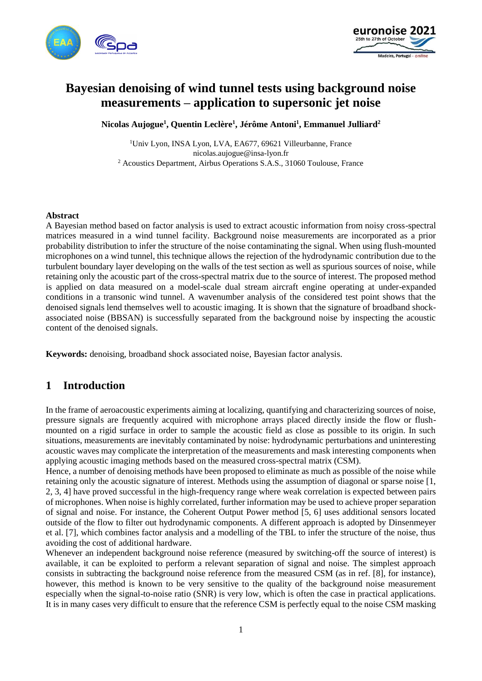



# **Bayesian denoising of wind tunnel tests using background noise measurements – application to supersonic jet noise**

**Nicolas Aujogue<sup>1</sup> , Quentin Leclère<sup>1</sup> , Jérôme Antoni<sup>1</sup> , Emmanuel Julliard<sup>2</sup>**

<sup>1</sup>Univ Lyon, INSA Lyon, LVA, EA677, 69621 Villeurbanne, France nicolas.aujogue@insa-lyon.fr <sup>2</sup> Acoustics Department, Airbus Operations S.A.S., 31060 Toulouse, France

#### **Abstract**

A Bayesian method based on factor analysis is used to extract acoustic information from noisy cross-spectral matrices measured in a wind tunnel facility. Background noise measurements are incorporated as a prior probability distribution to infer the structure of the noise contaminating the signal. When using flush-mounted microphones on a wind tunnel, this technique allows the rejection of the hydrodynamic contribution due to the turbulent boundary layer developing on the walls of the test section as well as spurious sources of noise, while retaining only the acoustic part of the cross-spectral matrix due to the source of interest. The proposed method is applied on data measured on a model-scale dual stream aircraft engine operating at under-expanded conditions in a transonic wind tunnel. A wavenumber analysis of the considered test point shows that the denoised signals lend themselves well to acoustic imaging. It is shown that the signature of broadband shockassociated noise (BBSAN) is successfully separated from the background noise by inspecting the acoustic content of the denoised signals.

**Keywords:** denoising, broadband shock associated noise, Bayesian factor analysis.

## **1 Introduction**

In the frame of aeroacoustic experiments aiming at localizing, quantifying and characterizing sources of noise, pressure signals are frequently acquired with microphone arrays placed directly inside the flow or flushmounted on a rigid surface in order to sample the acoustic field as close as possible to its origin. In such situations, measurements are inevitably contaminated by noise: hydrodynamic perturbations and uninteresting acoustic waves may complicate the interpretation of the measurements and mask interesting components when applying acoustic imaging methods based on the measured cross-spectral matrix (CSM).

Hence, a number of denoising methods have been proposed to eliminate as much as possible of the noise while retaining only the acoustic signature of interest. Methods using the assumption of diagonal or sparse noise [1, 2, 3, 4] have proved successful in the high-frequency range where weak correlation is expected between pairs of microphones. When noise is highly correlated, further information may be used to achieve proper separation of signal and noise. For instance, the Coherent Output Power method [5, 6] uses additional sensors located outside of the flow to filter out hydrodynamic components. A different approach is adopted by Dinsenmeyer et al. [7], which combines factor analysis and a modelling of the TBL to infer the structure of the noise, thus avoiding the cost of additional hardware.

Whenever an independent background noise reference (measured by switching-off the source of interest) is available, it can be exploited to perform a relevant separation of signal and noise. The simplest approach consists in subtracting the background noise reference from the measured CSM (as in ref. [8], for instance), however, this method is known to be very sensitive to the quality of the background noise measurement especially when the signal-to-noise ratio (SNR) is very low, which is often the case in practical applications. It is in many cases very difficult to ensure that the reference CSM is perfectly equal to the noise CSM masking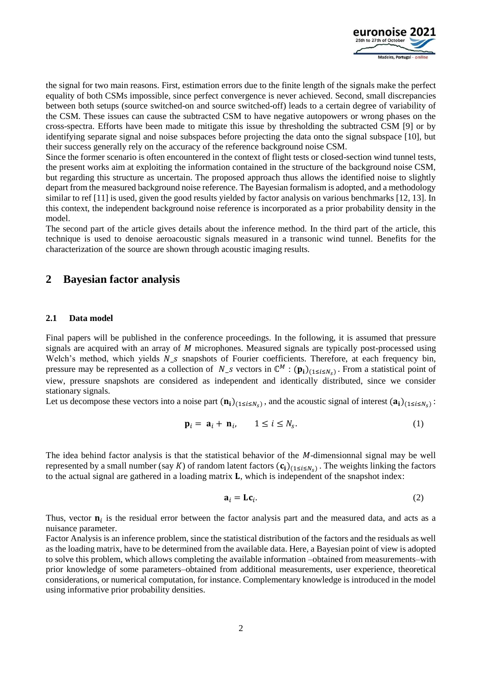

the signal for two main reasons. First, estimation errors due to the finite length of the signals make the perfect equality of both CSMs impossible, since perfect convergence is never achieved. Second, small discrepancies between both setups (source switched-on and source switched-off) leads to a certain degree of variability of the CSM. These issues can cause the subtracted CSM to have negative autopowers or wrong phases on the cross-spectra. Efforts have been made to mitigate this issue by thresholding the subtracted CSM [9] or by identifying separate signal and noise subspaces before projecting the data onto the signal subspace [10], but their success generally rely on the accuracy of the reference background noise CSM.

Since the former scenario is often encountered in the context of flight tests or closed-section wind tunnel tests, the present works aim at exploiting the information contained in the structure of the background noise CSM, but regarding this structure as uncertain. The proposed approach thus allows the identified noise to slightly depart from the measured background noise reference. The Bayesian formalism is adopted, and a methodology similar to ref [11] is used, given the good results yielded by factor analysis on various benchmarks [12, 13]. In this context, the independent background noise reference is incorporated as a prior probability density in the model.

The second part of the article gives details about the inference method. In the third part of the article, this technique is used to denoise aeroacoustic signals measured in a transonic wind tunnel. Benefits for the characterization of the source are shown through acoustic imaging results.

### **2 Bayesian factor analysis**

#### **2.1 Data model**

Final papers will be published in the conference proceedings. In the following, it is assumed that pressure signals are acquired with an array of *M* microphones. Measured signals are typically post-processed using Welch's method, which yields  $N_s$  snapshots of Fourier coefficients. Therefore, at each frequency bin, pressure may be represented as a collection of  $N_s$  vectors in  $\mathbb{C}^M$  :  $(\mathbf{p_i})_{(1 \le i \le N_s)}$ . From a statistical point of view, pressure snapshots are considered as independent and identically distributed, since we consider stationary signals.

Let us decompose these vectors into a noise part  $(n_i)_{(1 \le i \le N_s)}$ , and the acoustic signal of interest  $(a_i)_{(1 \le i \le N_s)}$ :

$$
\mathbf{p}_i = \mathbf{a}_i + \mathbf{n}_i, \qquad 1 \le i \le N_s. \tag{1}
$$

The idea behind factor analysis is that the statistical behavior of the  $M$ -dimensionnal signal may be well represented by a small number (say K) of random latent factors  $(c_i)_{(1 \le i \le N_S)}$ . The weights linking the factors to the actual signal are gathered in a loading matrix  $\bf{L}$ , which is independent of the snapshot index:

$$
\mathbf{a}_i = \mathbf{L}\mathbf{c}_i. \tag{2}
$$

Thus, vector  $\mathbf{n}_i$  is the residual error between the factor analysis part and the measured data, and acts as a nuisance parameter.

Factor Analysis is an inference problem, since the statistical distribution of the factors and the residuals as well as the loading matrix, have to be determined from the available data. Here, a Bayesian point of view is adopted to solve this problem, which allows completing the available information –obtained from measurements–with prior knowledge of some parameters–obtained from additional measurements, user experience, theoretical considerations, or numerical computation, for instance. Complementary knowledge is introduced in the model using informative prior probability densities.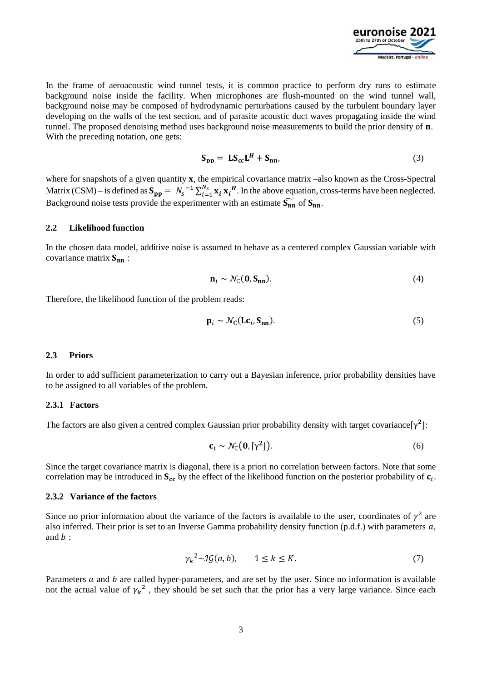

In the frame of aeroacoustic wind tunnel tests, it is common practice to perform dry runs to estimate background noise inside the facility. When microphones are flush-mounted on the wind tunnel wall, background noise may be composed of hydrodynamic perturbations caused by the turbulent boundary layer developing on the walls of the test section, and of parasite acoustic duct waves propagating inside the wind tunnel. The proposed denoising method uses background noise measurements to build the prior density of **n**. With the preceding notation, one gets:

$$
\mathbf{S}_{\mathbf{p}\mathbf{p}} = \mathbf{L}\mathbf{S}_{\mathbf{c}\mathbf{c}}\mathbf{L}^H + \mathbf{S}_{\mathbf{n}\mathbf{n}},\tag{3}
$$

where for snapshots of a given quantity  $x$ , the empirical covariance matrix –also known as the Cross-Spectral Matrix (CSM) – is defined as  $S_{pp} = N_s^{-1} \sum_{i=1}^{N_s} x_i x_i^H$ . In the above equation, cross-terms have been neglected. Background noise tests provide the experimenter with an estimate  $\widetilde{S_{nn}}$  of  $S_{nn}$ .

#### **2.2 Likelihood function**

In the chosen data model, additive noise is assumed to behave as a centered complex Gaussian variable with covariance matrix  $S_{nn}$ :

$$
\mathbf{n}_i \sim \mathcal{N}_{\mathbb{C}}(\mathbf{0}, \mathbf{S}_{nn}).\tag{4}
$$

Therefore, the likelihood function of the problem reads:

$$
\mathbf{p}_i \sim \mathcal{N}_{\mathbb{C}}(\mathbf{Lc}_i, \mathbf{S}_{nn}).
$$
 (5)

#### **2.3 Priors**

In order to add sufficient parameterization to carry out a Bayesian inference, prior probability densities have to be assigned to all variables of the problem.

### **2.3.1 Factors**

The factors are also given a centred complex Gaussian prior probability density with target covariance $[\gamma^2]$ :

$$
\mathbf{c}_i \sim \mathcal{N}_{\mathbb{C}}(\mathbf{0}, [\gamma^2]). \tag{6}
$$

Since the target covariance matrix is diagonal, there is a priori no correlation between factors. Note that some correlation may be introduced in  $S_{cc}$  by the effect of the likelihood function on the posterior probability of  $c_i$ .

#### **2.3.2 Variance of the factors**

Since no prior information about the variance of the factors is available to the user, coordinates of  $\gamma^2$  are also inferred. Their prior is set to an Inverse Gamma probability density function (p.d.f.) with parameters  $a$ , and  $b$  :

$$
\gamma_k^2 \sim \mathcal{IG}(a, b), \qquad 1 \le k \le K. \tag{7}
$$

Parameters  $\alpha$  and  $\beta$  are called hyper-parameters, and are set by the user. Since no information is available not the actual value of  $\gamma_k^2$ , they should be set such that the prior has a very large variance. Since each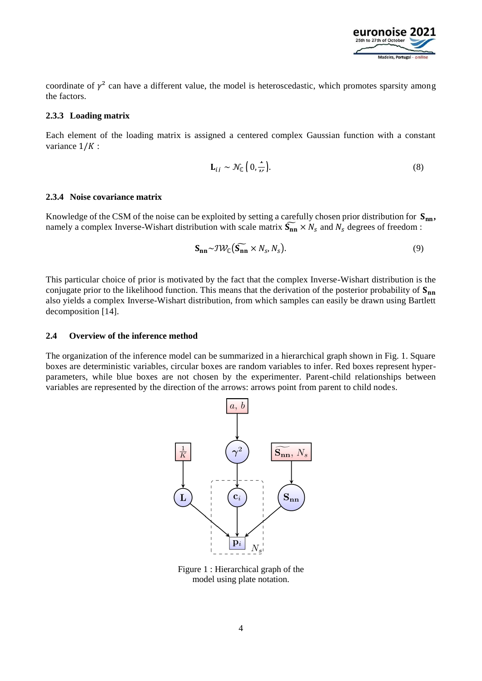

coordinate of  $\gamma^2$  can have a different value, the model is heteroscedastic, which promotes sparsity among the factors.

#### **2.3.3 Loading matrix**

Each element of the loading matrix is assigned a centered complex Gaussian function with a constant variance  $1/K$ :

$$
\mathbf{L}_{ij} \sim \mathcal{N}_{\mathbb{C}} \left( 0, \frac{1}{\nu} \right). \tag{8}
$$

#### **2.3.4 Noise covariance matrix**

Knowledge of the CSM of the noise can be exploited by setting a carefully chosen prior distribution for  $S_{nn}$ , namely a complex Inverse-Wishart distribution with scale matrix  $\widetilde{S_{nn}} \times N_s$  and  $N_s$  degrees of freedom :

$$
\mathbf{S_{nn}} \sim \mathcal{IW}_{\mathbb{C}}(\widetilde{\mathbf{S_{nn}}} \times N_s, N_s). \tag{9}
$$

This particular choice of prior is motivated by the fact that the complex Inverse-Wishart distribution is the conjugate prior to the likelihood function. This means that the derivation of the posterior probability of  $S_{nn}$ also yields a complex Inverse-Wishart distribution, from which samples can easily be drawn using Bartlett decomposition [14].

#### **2.4 Overview of the inference method**

The organization of the inference model can be summarized in a hierarchical graph shown in Fig. 1. Square boxes are deterministic variables, circular boxes are random variables to infer. Red boxes represent hyperparameters, while blue boxes are not chosen by the experimenter. Parent-child relationships between variables are represented by the direction of the arrows: arrows point from parent to child nodes.



Figure 1 : Hierarchical graph of the model using plate notation.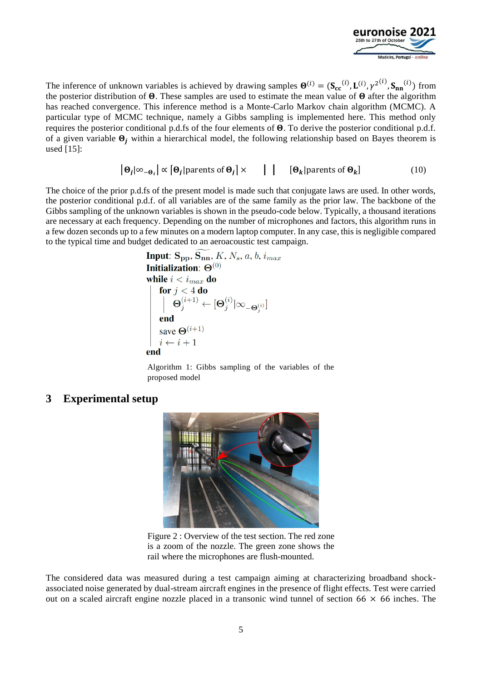

The inference of unknown variables is achieved by drawing samples  $\mathbf{\Theta}^{(i)} = (\mathbf{S_{cc}}^{(i)}, \mathbf{L}^{(i)}, \gamma^{2^{(i)}}, \mathbf{S_{nn}}^{(i)})$  from the posterior distribution of  $\Theta$ . These samples are used to estimate the mean value of  $\Theta$  after the algorithm has reached convergence. This inference method is a Monte-Carlo Markov chain algorithm (MCMC). A particular type of MCMC technique, namely a Gibbs sampling is implemented here. This method only requires the posterior conditional p.d.fs of the four elements of  $\Theta$ . To derive the posterior conditional p.d.f. of a given variable  $\mathbf{\Theta}_i$  within a hierarchical model, the following relationship based on Bayes theorem is used [15]:

$$
|\mathbf{\Theta}_i| \infty_{-\mathbf{\Theta}_i} \mid \alpha \left[ \mathbf{\Theta}_i | \text{parents of } \mathbf{\Theta}_i \right] \times \left[ | \mathbf{\Theta}_k | \text{parents of } \mathbf{\Theta}_k \right]
$$
 (10)

The choice of the prior p.d.fs of the present model is made such that conjugate laws are used. In other words, the posterior conditional p.d.f. of all variables are of the same family as the prior law. The backbone of the Gibbs sampling of the unknown variables is shown in the pseudo-code below. Typically, a thousand iterations are necessary at each frequency. Depending on the number of microphones and factors, this algorithm runs in a few dozen seconds up to a few minutes on a modern laptop computer. In any case, this is negligible compared to the typical time and budget dedicated to an aeroacoustic test campaign.

Input: 
$$
S_{pp}
$$
,  $S_{nn}$ ,  $K$ ,  $N_s$ ,  $a$ ,  $b$ ,  $i_{max}$   
Initialization:  $\Theta^{(0)}$   
while  $i < i_{max}$  do  

$$
\begin{vmatrix}\n\text{for } j < 4 \text{ do} \\
\Theta_j^{(i+1)} \leftarrow [\Theta_j^{(i)} | \infty_{-\Theta_j^{(i)}}]\n\end{vmatrix}
$$
end  
save  $\Theta^{(i+1)}$   
 $i \leftarrow i + 1$   
end

Algorithm 1: Gibbs sampling of the variables of the proposed model

### **3 Experimental setup**



Figure 2 : Overview of the test section. The red zone is a zoom of the nozzle. The green zone shows the rail where the microphones are flush-mounted.

The considered data was measured during a test campaign aiming at characterizing broadband shockassociated noise generated by dual-stream aircraft engines in the presence of flight effects. Test were carried out on a scaled aircraft engine nozzle placed in a transonic wind tunnel of section  $66 \times 66$  inches. The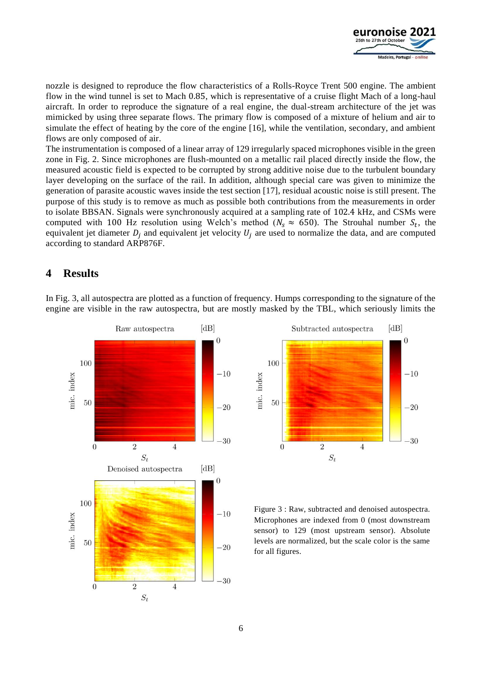

nozzle is designed to reproduce the flow characteristics of a Rolls-Royce Trent 500 engine. The ambient flow in the wind tunnel is set to Mach 0.85, which is representative of a cruise flight Mach of a long-haul aircraft. In order to reproduce the signature of a real engine, the dual-stream architecture of the jet was mimicked by using three separate flows. The primary flow is composed of a mixture of helium and air to simulate the effect of heating by the core of the engine [16], while the ventilation, secondary, and ambient flows are only composed of air.

The instrumentation is composed of a linear array of 129 irregularly spaced microphones visible in the green zone in Fig. 2. Since microphones are flush-mounted on a metallic rail placed directly inside the flow, the measured acoustic field is expected to be corrupted by strong additive noise due to the turbulent boundary layer developing on the surface of the rail. In addition, although special care was given to minimize the generation of parasite acoustic waves inside the test section [17], residual acoustic noise is still present. The purpose of this study is to remove as much as possible both contributions from the measurements in order to isolate BBSAN. Signals were synchronously acquired at a sampling rate of 102.4 kHz, and CSMs were computed with 100 Hz resolution using Welch's method ( $N_s \approx 650$ ). The Strouhal number  $S_t$ , the equivalent jet diameter  $D_i$  and equivalent jet velocity  $U_i$  are used to normalize the data, and are computed according to standard ARP876F.

### **4 Results**

In Fig. 3, all autospectra are plotted as a function of frequency. Humps corresponding to the signature of the engine are visible in the raw autospectra, but are mostly masked by the TBL, which seriously limits the





Figure 3 : Raw, subtracted and denoised autospectra. Microphones are indexed from 0 (most downstream sensor) to 129 (most upstream sensor). Absolute levels are normalized, but the scale color is the same for all figures.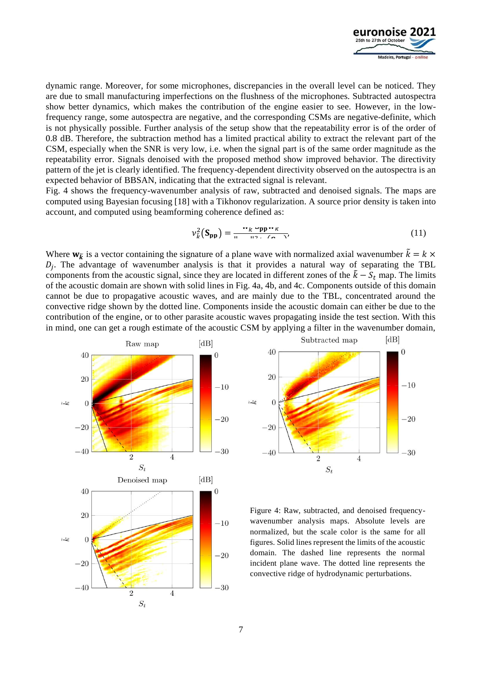

dynamic range. Moreover, for some microphones, discrepancies in the overall level can be noticed. They are due to small manufacturing imperfections on the flushness of the microphones. Subtracted autospectra show better dynamics, which makes the contribution of the engine easier to see. However, in the lowfrequency range, some autospectra are negative, and the corresponding CSMs are negative-definite, which is not physically possible. Further analysis of the setup show that the repeatability error is of the order of 0.8 dB. Therefore, the subtraction method has a limited practical ability to extract the relevant part of the CSM, especially when the SNR is very low, i.e. when the signal part is of the same order magnitude as the repeatability error. Signals denoised with the proposed method show improved behavior. The directivity pattern of the jet is clearly identified. The frequency-dependent directivity observed on the autospectra is an expected behavior of BBSAN, indicating that the extracted signal is relevant.

Fig. 4 shows the frequency-wavenumber analysis of raw, subtracted and denoised signals. The maps are computed using Bayesian focusing [18] with a Tikhonov regularization. A source prior density is taken into account, and computed using beamforming coherence defined as:

$$
\nu_{\vec{k}}^2(\mathbf{S}_{\mathbf{pp}}) = \frac{\mathbf{w}_k \mathbf{w}_{\mathbf{pp}} \mathbf{w}_k}{\mathbf{w}_k \mathbf{w}_k}.
$$
 (11)

Where  $w_{\tilde{k}}$  is a vector containing the signature of a plane wave with normalized axial wavenumber  $\tilde{k} = k \times$  $D_j$ . The advantage of wavenumber analysis is that it provides a natural way of separating the TBL components from the acoustic signal, since they are located in different zones of the  $\tilde{k} - S_t$  map. The limits of the acoustic domain are shown with solid lines in Fig. 4a, 4b, and 4c. Components outside of this domain cannot be due to propagative acoustic waves, and are mainly due to the TBL, concentrated around the convective ridge shown by the dotted line. Components inside the acoustic domain can either be due to the contribution of the engine, or to other parasite acoustic waves propagating inside the test section. With this in mind, one can get a rough estimate of the acoustic CSM by applying a filter in the wavenumber domain,





Figure 4: Raw, subtracted, and denoised frequencywavenumber analysis maps. Absolute levels are normalized, but the scale color is the same for all figures. Solid lines represent the limits of the acoustic domain. The dashed line represents the normal incident plane wave. The dotted line represents the convective ridge of hydrodynamic perturbations.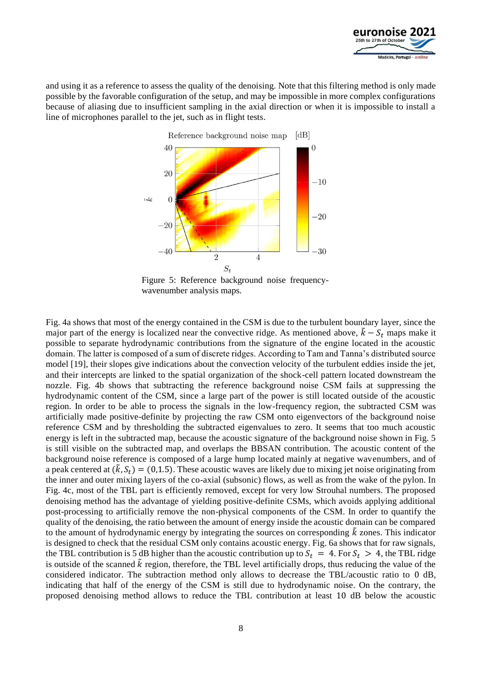

and using it as a reference to assess the quality of the denoising. Note that this filtering method is only made possible by the favorable configuration of the setup, and may be impossible in more complex configurations because of aliasing due to insufficient sampling in the axial direction or when it is impossible to install a line of microphones parallel to the jet, such as in flight tests.



Figure 5: Reference background noise frequencywavenumber analysis maps.

Fig. 4a shows that most of the energy contained in the CSM is due to the turbulent boundary layer, since the major part of the energy is localized near the convective ridge. As mentioned above,  $\tilde{k} - S_t$  maps make it possible to separate hydrodynamic contributions from the signature of the engine located in the acoustic domain. The latter is composed of a sum of discrete ridges. According to Tam and Tanna's distributed source model [19], their slopes give indications about the convection velocity of the turbulent eddies inside the jet, and their intercepts are linked to the spatial organization of the shock-cell pattern located downstream the nozzle. Fig. 4b shows that subtracting the reference background noise CSM fails at suppressing the hydrodynamic content of the CSM, since a large part of the power is still located outside of the acoustic region. In order to be able to process the signals in the low-frequency region, the subtracted CSM was artificially made positive-definite by projecting the raw CSM onto eigenvectors of the background noise reference CSM and by thresholding the subtracted eigenvalues to zero. It seems that too much acoustic energy is left in the subtracted map, because the acoustic signature of the background noise shown in Fig. 5 is still visible on the subtracted map, and overlaps the BBSAN contribution. The acoustic content of the background noise reference is composed of a large hump located mainly at negative wavenumbers, and of a peak centered at  $(k, S_t) = (0, 1.5)$ . These acoustic waves are likely due to mixing jet noise originating from the inner and outer mixing layers of the co-axial (subsonic) flows, as well as from the wake of the pylon. In Fig. 4c, most of the TBL part is efficiently removed, except for very low Strouhal numbers. The proposed denoising method has the advantage of yielding positive-definite CSMs, which avoids applying additional post-processing to artificially remove the non-physical components of the CSM. In order to quantify the quality of the denoising, the ratio between the amount of energy inside the acoustic domain can be compared to the amount of hydrodynamic energy by integrating the sources on corresponding  $\tilde{k}$  zones. This indicator is designed to check that the residual CSM only contains acoustic energy. Fig. 6a shows that for raw signals, the TBL contribution is 5 dB higher than the acoustic contribution up to  $S_t = 4$ . For  $S_t > 4$ , the TBL ridge is outside of the scanned  $\tilde{k}$  region, therefore, the TBL level artificially drops, thus reducing the value of the considered indicator. The subtraction method only allows to decrease the TBL/acoustic ratio to 0 dB, indicating that half of the energy of the CSM is still due to hydrodynamic noise. On the contrary, the proposed denoising method allows to reduce the TBL contribution at least 10 dB below the acoustic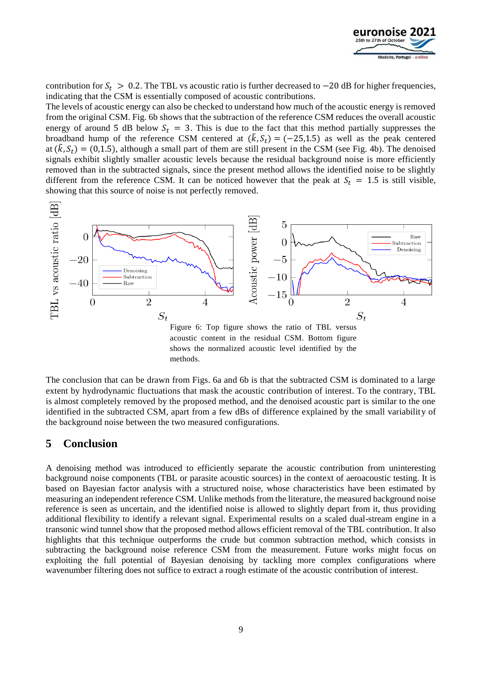

contribution for  $S_t > 0.2$ . The TBL vs acoustic ratio is further decreased to  $-20$  dB for higher frequencies, indicating that the CSM is essentially composed of acoustic contributions.

The levels of acoustic energy can also be checked to understand how much of the acoustic energy is removed from the original CSM. Fig. 6b shows that the subtraction of the reference CSM reduces the overall acoustic energy of around 5 dB below  $S_t = 3$ . This is due to the fact that this method partially suppresses the broadband hump of the reference CSM centered at  $(\tilde{k}, S_t) = (-25, 1.5)$  as well as the peak centered at  $(\tilde{k}, S_t) = (0, 1.5)$ , although a small part of them are still present in the CSM (see Fig. 4b). The denoised signals exhibit slightly smaller acoustic levels because the residual background noise is more efficiently removed than in the subtracted signals, since the present method allows the identified noise to be slightly different from the reference CSM. It can be noticed however that the peak at  $S_t = 1.5$  is still visible, showing that this source of noise is not perfectly removed.



The conclusion that can be drawn from Figs. 6a and 6b is that the subtracted CSM is dominated to a large extent by hydrodynamic fluctuations that mask the acoustic contribution of interest. To the contrary, TBL is almost completely removed by the proposed method, and the denoised acoustic part is similar to the one identified in the subtracted CSM, apart from a few dBs of difference explained by the small variability of the background noise between the two measured configurations.

### **5 Conclusion**

A denoising method was introduced to efficiently separate the acoustic contribution from uninteresting background noise components (TBL or parasite acoustic sources) in the context of aeroacoustic testing. It is based on Bayesian factor analysis with a structured noise, whose characteristics have been estimated by measuring an independent reference CSM. Unlike methods from the literature, the measured background noise reference is seen as uncertain, and the identified noise is allowed to slightly depart from it, thus providing additional flexibility to identify a relevant signal. Experimental results on a scaled dual-stream engine in a transonic wind tunnel show that the proposed method allows efficient removal of the TBL contribution. It also highlights that this technique outperforms the crude but common subtraction method, which consists in subtracting the background noise reference CSM from the measurement. Future works might focus on exploiting the full potential of Bayesian denoising by tackling more complex configurations where wavenumber filtering does not suffice to extract a rough estimate of the acoustic contribution of interest.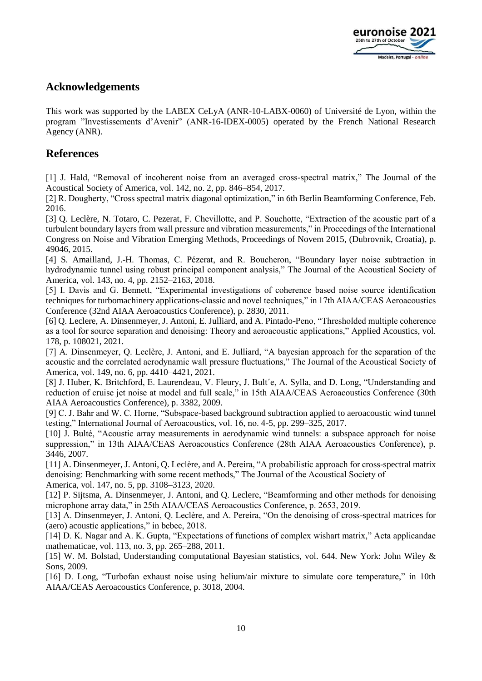

# **Acknowledgements**

This work was supported by the LABEX CeLyA (ANR-10-LABX-0060) of Université de Lyon, within the program "Investissements d'Avenir" (ANR-16-IDEX-0005) operated by the French National Research Agency (ANR).

## **References**

[1] J. Hald, "Removal of incoherent noise from an averaged cross-spectral matrix," The Journal of the Acoustical Society of America, vol. 142, no. 2, pp. 846–854, 2017.

[2] R. Dougherty, "Cross spectral matrix diagonal optimization," in 6th Berlin Beamforming Conference, Feb. 2016.

[3] O. Leclère, N. Totaro, C. Pezerat, F. Chevillotte, and P. Souchotte, "Extraction of the acoustic part of a turbulent boundary layers from wall pressure and vibration measurements," in Proceedings of the International Congress on Noise and Vibration Emerging Methods, Proceedings of Novem 2015, (Dubrovnik, Croatia), p. 49046, 2015.

[4] S. Amailland, J.-H. Thomas, C. Pézerat, and R. Boucheron, "Boundary layer noise subtraction in hydrodynamic tunnel using robust principal component analysis," The Journal of the Acoustical Society of America, vol. 143, no. 4, pp. 2152–2163, 2018.

[5] I. Davis and G. Bennett, "Experimental investigations of coherence based noise source identification techniques for turbomachinery applications-classic and novel techniques," in 17th AIAA/CEAS Aeroacoustics Conference (32nd AIAA Aeroacoustics Conference), p. 2830, 2011.

[6] Q. Leclere, A. Dinsenmeyer, J. Antoni, E. Julliard, and A. Pintado-Peno, "Thresholded multiple coherence as a tool for source separation and denoising: Theory and aeroacoustic applications," Applied Acoustics, vol. 178, p. 108021, 2021.

[7] A. Dinsenmeyer, Q. Leclère, J. Antoni, and E. Julliard, "A bayesian approach for the separation of the acoustic and the correlated aerodynamic wall pressure fluctuations," The Journal of the Acoustical Society of America, vol. 149, no. 6, pp. 4410–4421, 2021.

[8] J. Huber, K. Britchford, E. Laurendeau, V. Fleury, J. Bult´e, A. Sylla, and D. Long, "Understanding and reduction of cruise jet noise at model and full scale," in 15th AIAA/CEAS Aeroacoustics Conference (30th AIAA Aeroacoustics Conference), p. 3382, 2009.

[9] C. J. Bahr and W. C. Horne, "Subspace-based background subtraction applied to aeroacoustic wind tunnel testing," International Journal of Aeroacoustics, vol. 16, no. 4-5, pp. 299–325, 2017.

[10] J. Bulté, "Acoustic array measurements in aerodynamic wind tunnels: a subspace approach for noise suppression," in 13th AIAA/CEAS Aeroacoustics Conference (28th AIAA Aeroacoustics Conference), p. 3446, 2007.

[11] A. Dinsenmeyer, J. Antoni, Q. Leclère, and A. Pereira, "A probabilistic approach for cross-spectral matrix denoising: Benchmarking with some recent methods," The Journal of the Acoustical Society of America, vol. 147, no. 5, pp. 3108–3123, 2020.

[12] P. Sijtsma, A. Dinsenmeyer, J. Antoni, and Q. Leclere, "Beamforming and other methods for denoising microphone array data," in 25th AIAA/CEAS Aeroacoustics Conference, p. 2653, 2019.

[13] A. Dinsenmeyer, J. Antoni, Q. Leclère, and A. Pereira, "On the denoising of cross-spectral matrices for (aero) acoustic applications," in bebec, 2018.

[14] D. K. Nagar and A. K. Gupta, "Expectations of functions of complex wishart matrix," Acta applicandae mathematicae, vol. 113, no. 3, pp. 265–288, 2011.

[15] W. M. Bolstad, Understanding computational Bayesian statistics, vol. 644. New York: John Wiley & Sons, 2009.

[16] D. Long, "Turbofan exhaust noise using helium/air mixture to simulate core temperature," in 10th AIAA/CEAS Aeroacoustics Conference, p. 3018, 2004.